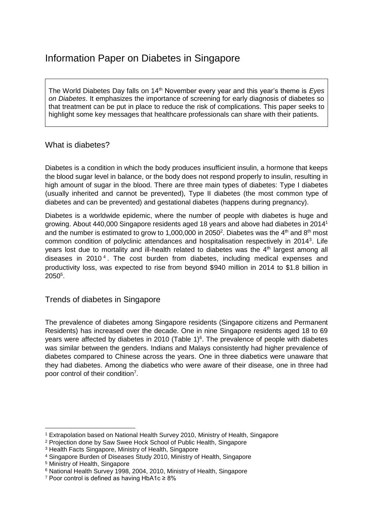## Information Paper on Diabetes in Singapore

The World Diabetes Day falls on 14<sup>th</sup> November every year and this year's theme is *Eyes on Diabetes*. It emphasizes the importance of screening for early diagnosis of diabetes so that treatment can be put in place to reduce the risk of complications. This paper seeks to highlight some key messages that healthcare professionals can share with their patients.

## What is diabetes?

Diabetes is a condition in which the body produces insufficient insulin, a hormone that keeps the blood sugar level in balance, or the body does not respond properly to insulin, resulting in high amount of sugar in the blood. There are three main types of diabetes: Type I diabetes (usually inherited and cannot be prevented), Type II diabetes (the most common type of diabetes and can be prevented) and gestational diabetes (happens during pregnancy).

Diabetes is a worldwide epidemic, where the number of people with diabetes is huge and growing. About 440,000 Singapore residents aged 18 years and above had diabetes in 2014<sup>1</sup> and the number is estimated to grow to 1,000,000 in 2050<sup>2</sup>. Diabetes was the  $4<sup>th</sup>$  and  $8<sup>th</sup>$  most common condition of polyclinic attendances and hospitalisation respectively in 2014<sup>3</sup>. Life years lost due to mortality and ill-health related to diabetes was the  $4<sup>th</sup>$  largest among all diseases in 2010<sup>4</sup>. The cost burden from diabetes, including medical expenses and productivity loss, was expected to rise from beyond \$940 million in 2014 to \$1.8 billion in 2050<sup>5</sup> .

## Trends of diabetes in Singapore

The prevalence of diabetes among Singapore residents (Singapore citizens and Permanent Residents) has increased over the decade. One in nine Singapore residents aged 18 to 69 years were affected by diabetes in 2010 (Table  $1)^6$ . The prevalence of people with diabetes was similar between the genders. Indians and Malays consistently had higher prevalence of diabetes compared to Chinese across the years. One in three diabetics were unaware that they had diabetes. Among the diabetics who were aware of their disease, one in three had poor control of their condition<sup>7</sup>.

**.** 

<sup>1</sup> Extrapolation based on National Health Survey 2010, Ministry of Health, Singapore

<sup>2</sup> Projection done by Saw Swee Hock School of Public Health, Singapore

<sup>3</sup> Health Facts Singapore, Ministry of Health, Singapore

<sup>4</sup> Singapore Burden of Diseases Study 2010, Ministry of Health, Singapore

<sup>5</sup> Ministry of Health, Singapore

<sup>6</sup> National Health Survey 1998, 2004, 2010, Ministry of Health, Singapore

<sup>7</sup> Poor control is defined as having HbA1c ≥ 8%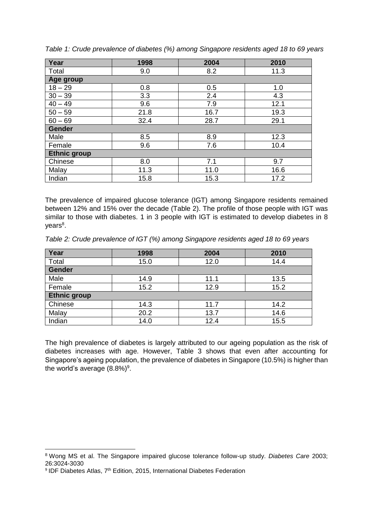| Year                | 1998 | 2004 | 2010 |  |  |  |
|---------------------|------|------|------|--|--|--|
| Total               | 9.0  | 8.2  | 11.3 |  |  |  |
| Age group           |      |      |      |  |  |  |
| $18 - 29$           | 0.8  | 0.5  | 1.0  |  |  |  |
| $30 - 39$           | 3.3  | 2.4  | 4.3  |  |  |  |
| $40 - 49$           | 9.6  | 7.9  | 12.1 |  |  |  |
| $50 - 59$           | 21.8 | 16.7 | 19.3 |  |  |  |
| $60 - 69$           | 32.4 | 28.7 | 29.1 |  |  |  |
| <b>Gender</b>       |      |      |      |  |  |  |
| Male                | 8.5  | 8.9  | 12.3 |  |  |  |
| Female              | 9.6  | 7.6  | 10.4 |  |  |  |
| <b>Ethnic group</b> |      |      |      |  |  |  |
| Chinese             | 8.0  | 7.1  | 9.7  |  |  |  |
| Malay               | 11.3 | 11.0 | 16.6 |  |  |  |
| Indian              | 15.8 | 15.3 | 17.2 |  |  |  |

*Table 1: Crude prevalence of diabetes (%) among Singapore residents aged 18 to 69 years*

The prevalence of impaired glucose tolerance (IGT) among Singapore residents remained between 12% and 15% over the decade (Table 2). The profile of those people with IGT was similar to those with diabetes. 1 in 3 people with IGT is estimated to develop diabetes in 8 years<sup>8</sup>.

*Table 2: Crude prevalence of IGT (%) among Singapore residents aged 18 to 69 years*

| Year                | 1998 | 2004 | 2010 |  |  |
|---------------------|------|------|------|--|--|
| Total               | 15.0 | 12.0 | 14.4 |  |  |
| Gender              |      |      |      |  |  |
| Male                | 14.9 | 11.1 | 13.5 |  |  |
| Female              | 15.2 | 12.9 | 15.2 |  |  |
| <b>Ethnic group</b> |      |      |      |  |  |
| Chinese             | 14.3 | 11.7 | 14.2 |  |  |
| Malay               | 20.2 | 13.7 | 14.6 |  |  |
| Indian              | 14.0 | 12.4 | 15.5 |  |  |

The high prevalence of diabetes is largely attributed to our ageing population as the risk of diabetes increases with age. However, Table 3 shows that even after accounting for Singapore's ageing population, the prevalence of diabetes in Singapore (10.5%) is higher than the world's average  $(8.8\%)^9$ .

**.** 

<sup>8</sup> Wong MS et al. The Singapore impaired glucose tolerance follow-up study. *Diabetes Care* 2003; 26:3024-3030

<sup>&</sup>lt;sup>9</sup> IDF Diabetes Atlas, 7<sup>th</sup> Edition, 2015, International Diabetes Federation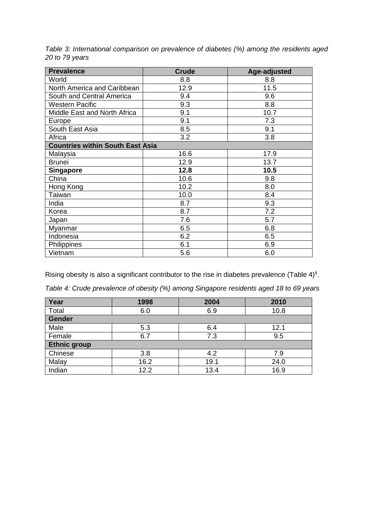| <b>Prevalence</b>                       | <b>Crude</b> | Age-adjusted |  |  |  |
|-----------------------------------------|--------------|--------------|--|--|--|
| World                                   | 8.8          | 8.8          |  |  |  |
| North America and Caribbean             | 12.9         | 11.5         |  |  |  |
| South and Central America               | 9.4          | 9.6          |  |  |  |
| <b>Western Pacific</b>                  | 9.3          | 8.8          |  |  |  |
| Middle East and North Africa            | 9.1          | 10.7         |  |  |  |
| Europe                                  | 9.1          | 7.3          |  |  |  |
| South East Asia                         | 8.5          | 9.1          |  |  |  |
| Africa                                  | 3.2          | 3.8          |  |  |  |
| <b>Countries within South East Asia</b> |              |              |  |  |  |
| Malaysia                                | 16.6         | 17.9         |  |  |  |
| <b>Brunei</b>                           | 12.9         | 13.7         |  |  |  |
| <b>Singapore</b>                        | 12.8         | 10.5         |  |  |  |
| China                                   | 10.6         | 9.8          |  |  |  |
| Hong Kong                               | 10.2         | 8.0          |  |  |  |
| Taiwan                                  | 10.0         | 8.4          |  |  |  |
| India                                   | 8.7          | 9.3          |  |  |  |
| Korea                                   | 8.7          | 7.2          |  |  |  |
| Japan                                   | 7.6          | 5.7          |  |  |  |
| Myanmar                                 | 6.5          | 6.8          |  |  |  |
| Indonesia                               | 6.2          | 6.5          |  |  |  |
| Philippines                             | 6.1          | 6.9          |  |  |  |
| Vietnam                                 | 5.6          | 6.0          |  |  |  |

*Table 3: International comparison on prevalence of diabetes (%) among the residents aged 20 to 79 years*

Rising obesity is also a significant contributor to the rise in diabetes prevalence (Table 4)<sup>6</sup>.

*Table 4: Crude prevalence of obesity (%) among Singapore residents aged 18 to 69 years*

| Year                | 1998 | 2004 | 2010 |  |  |
|---------------------|------|------|------|--|--|
| Total               | 6.0  | 6.9  | 10.8 |  |  |
| Gender              |      |      |      |  |  |
| Male                | 5.3  | 6.4  | 12.1 |  |  |
| Female              | 6.7  | 7.3  | 9.5  |  |  |
| <b>Ethnic group</b> |      |      |      |  |  |
| Chinese             | 3.8  | 4.2  | 7.9  |  |  |
| Malay               | 16.2 | 19.1 | 24.0 |  |  |
| Indian              | 12.2 | 13.4 | 16.9 |  |  |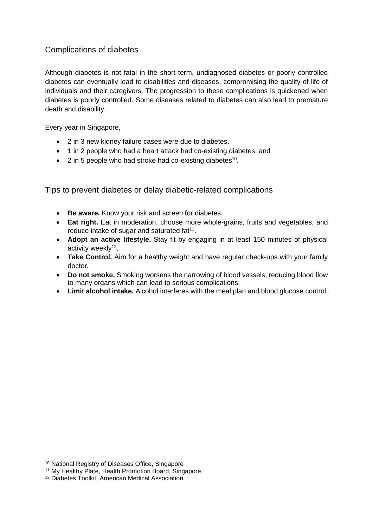## Complications of diabetes

Although diabetes is not fatal in the short term, undiagnosed diabetes or poorly controlled diabetes can eventually lead to disabilities and diseases, compromising the quality of life of individuals and their caregivers. The progression to these complications is quickened when diabetes is poorly controlled. Some diseases related to diabetes can also lead to premature death and disability.

Every year in Singapore,

- 2 in 3 new kidney failure cases were due to diabetes.
- 1 in 2 people who had a heart attack had co-existing diabetes; and
- $\bullet$  2 in 5 people who had stroke had co-existing diabetes<sup>10</sup>.

Tips to prevent diabetes or delay diabetic-related complications

- **Be aware.** Know your risk and screen for diabetes.
- **Eat right.** Eat in moderation, choose more whole-grains, fruits and vegetables, and reduce intake of sugar and saturated  $fat<sup>11</sup>$ .
- **Adopt an active lifestyle.** Stay fit by engaging in at least 150 minutes of physical activity weekly<sup>12</sup>.
- **Take Control.** Aim for a healthy weight and have regular check-ups with your family doctor.
- **Do not smoke.** Smoking worsens the narrowing of blood vessels, reducing blood flow to many organs which can lead to serious complications.
- **Limit alcohol intake.** Alcohol interferes with the meal plan and blood glucose control.

1

<sup>10</sup> National Registry of Diseases Office, Singapore

<sup>11</sup> My Healthy Plate, Health Promotion Board, Singapore

<sup>12</sup> Diabetes Toolkit, American Medical Association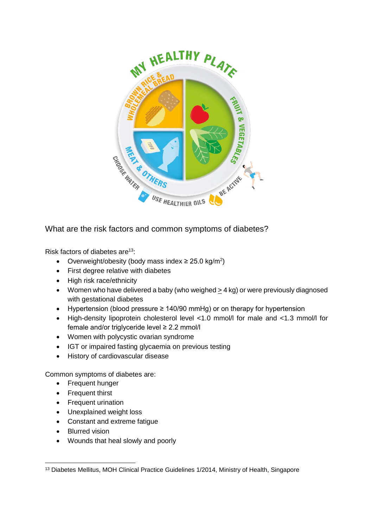

What are the risk factors and common symptoms of diabetes?

Risk factors of diabetes are<sup>13</sup>:

- Overweight/obesity (body mass index  $\geq$  25.0 kg/m<sup>2</sup>)
- First degree relative with diabetes
- High risk race/ethnicity
- Women who have delivered a baby (who weighed  $\geq$  4 kg) or were previously diagnosed with gestational diabetes
- Hypertension (blood pressure ≥ 140/90 mmHg) or on therapy for hypertension
- High-density lipoprotein cholesterol level <1.0 mmol/l for male and <1.3 mmol/l for female and/or triglyceride level ≥ 2.2 mmol/l
- Women with polycystic ovarian syndrome
- IGT or impaired fasting glycaemia on previous testing
- History of cardiovascular disease

Common symptoms of diabetes are:

- Frequent hunger
- Frequent thirst
- Frequent urination
- Unexplained weight loss
- Constant and extreme fatigue
- Blurred vision
- Wounds that heal slowly and poorly

**<sup>.</sup>** <sup>13</sup> Diabetes Mellitus, MOH Clinical Practice Guidelines 1/2014, Ministry of Health, Singapore